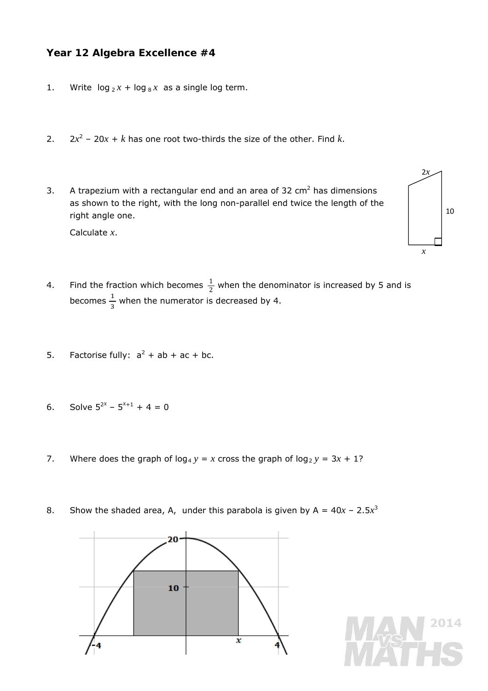## **Year 12 Algebra Excellence #4**

- 1. Write  $\log_2 x + \log_8 x$  as a single log term.
- 2.  $2x^2 20x + k$  has one root two-thirds the size of the other. Find *k*.
- 3. A trapezium with a rectangular end and an area of 32  $\text{cm}^2$  has dimensions as shown to the right, with the long non-parallel end twice the length of the right angle one.



- Calculate *x*.
- 4. Find the fraction which becomes  $\frac{1}{2}$  when the denominator is increased by 5 and is becomes  $\frac{1}{3}$  when the numerator is decreased by 4.
- 5. Factorise fully:  $a^2 + ab + ac + bc$ .
- 6. Solve  $5^{2x}$   $5^{x+1}$  + 4 = 0
- 7. Where does the graph of  $log_4 y = x$  cross the graph of  $log_2 y = 3x + 1$ ?
- 8. Show the shaded area, A, under this parabola is given by  $A = 40x 2.5x^3$

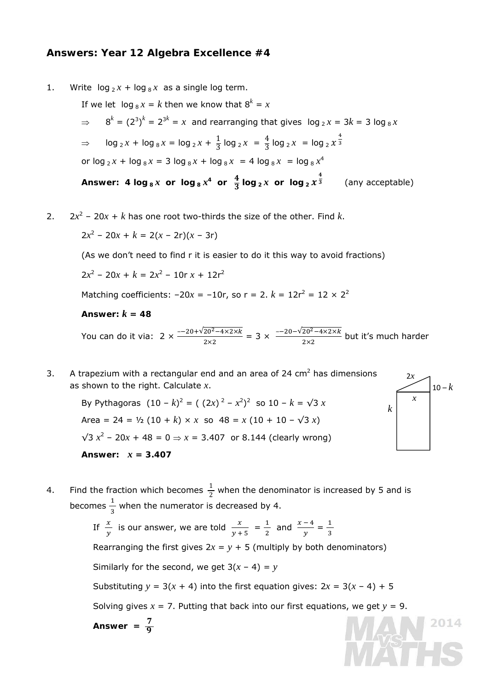## **Answers: Year 12 Algebra Excellence #4**

1. Write  $log_2 x + log_8 x$  as a single log term.

If we let 
$$
\log_8 x = k
$$
 then we know that  $8^k = x$   
\n $\Rightarrow 8^k = (2^3)^k = 2^{3k} = x$  and rearranging that gives  $\log_2 x = 3k = 3 \log_8 x$   
\n $\Rightarrow \log_2 x + \log_8 x = \log_2 x + \frac{1}{3} \log_2 x = \frac{4}{3} \log_2 x = \log_2 x^{\frac{4}{3}}$   
\nor  $\log_2 x + \log_8 x = 3 \log_8 x + \log_8 x = 4 \log_8 x = \log_8 x^4$   
\nAnswer: 4  $\log_8 x$  or  $\log_8 x^4$  or  $\frac{4}{3} \log_2 x$  or  $\log_2 x^{\frac{4}{3}}$  (any acceptable)

2.  $2x^2 - 20x + k$  has one root two-thirds the size of the other. Find *k*.

 $2x^2 - 20x + k = 2(x - 2r)(x - 3r)$ 

(As we don't need to find r it is easier to do it this way to avoid fractions)

 $2x^2 - 20x + k = 2x^2 - 10r x + 12r^2$ 

Matching coefficients:  $-20x = -10r$ , so  $r = 2$ .  $k = 12r^2 = 12 \times 2^2$ 

Answer:  $k = 48$ 

You can do it via:  $2 \times \frac{-20 + \sqrt{20^2 - 4 \times 2 \times k}}{2 \times 2} = 3 \times \frac{-20 - \sqrt{20^2 - 4 \times 2 \times k}}{2 \times 2}$  but it's much harder

3. A trapezium with a rectangular end and an area of 24  $\text{cm}^2$  has dimensions as shown to the right. Calculate *x*.

> By Pythagoras  $(10 - k)^2 = (2x)^2 - x^2^2$  so  $10 - k = \sqrt{3} x$ Area =  $24 = \frac{1}{2} (10 + k) \times x$  so  $48 = x (10 + 10 - \sqrt{3} x)$  $\sqrt{3}$   $x^2$  − 20x + 48 = 0  $\Rightarrow$  x = 3.407 or 8.144 (clearly wrong) Answer:  $x = 3.407$



4. Find the fraction which becomes  $\frac{1}{2}$  when the denominator is increased by 5 and is becomes  $\frac{1}{3}$  when the numerator is decreased by 4.

> If  $\frac{x}{y}$  is our answer, we are told  $\frac{x}{y+5} = \frac{1}{2}$  $\frac{1}{2}$  and  $\frac{x-4}{y} = \frac{1}{3}$ Rearranging the first gives  $2x = y + 5$  (multiply by both denominators) Similarly for the second, we get  $3(x - 4) = y$ Substituting  $y = 3(x + 4)$  into the first equation gives:  $2x = 3(x - 4) + 5$ Solving gives  $x = 7$ . Putting that back into our first equations, we get  $y = 9$ . Answer =  $\frac{7}{9}$ 2014